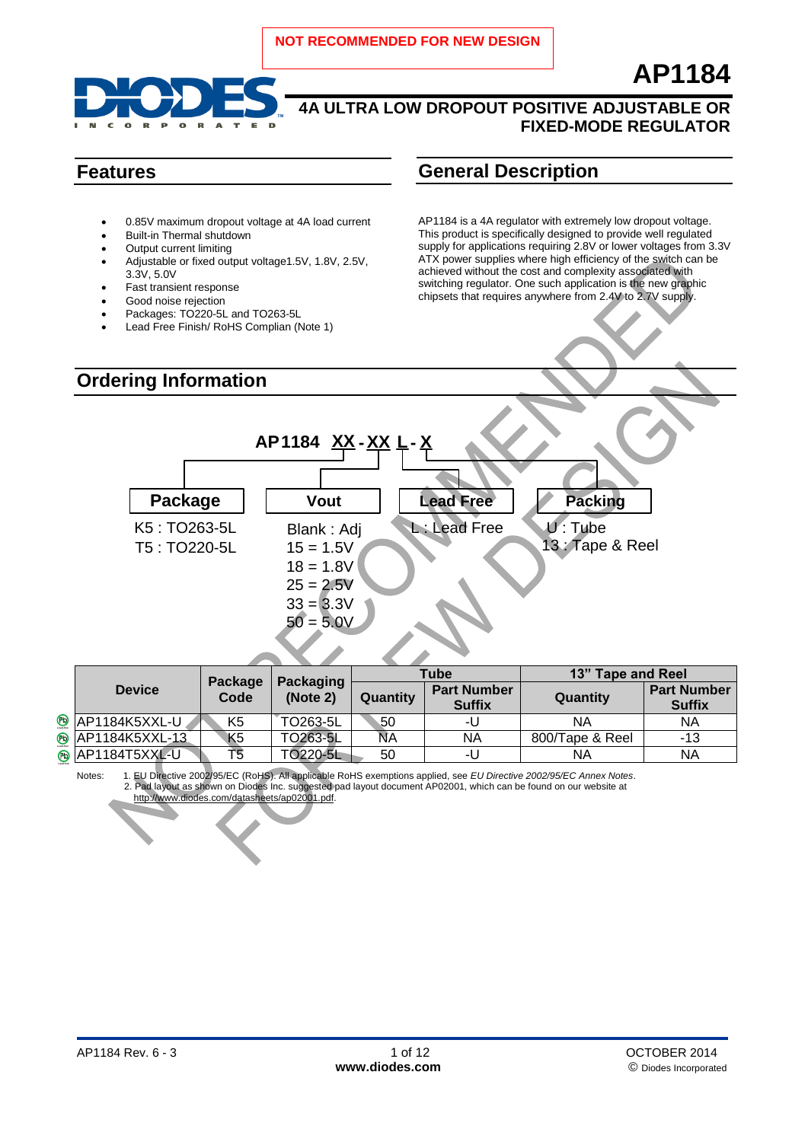

- 0.85V maximum dropout voltage at 4A load current
- Built-in Thermal shutdown
- Output current limiting
- Adjustable or fixed output voltage1.5V, 1.8V, 2.5V, 3.3V, 5.0V
- Fast transient response
- Good noise rejection
- Packages: TO220-5L and TO263-5L
- Lead Free Finish/ RoHS Complian (Note 1)

## **Features General Description**

AP1184 is a 4A regulator with extremely low dropout voltage. This product is specifically designed to provide well regulated supply for applications requiring 2.8V or lower voltages from 3.3V ATX power supplies where high efficiency of the switch can be achieved without the cost and complexity associated with switching regulator. One such application is the new graphic chipsets that requires anywhere from 2.4V to 2.7V supply.

**AP1184**



|                                   | Package | Packaging<br>(Note 2) | Tube     |                                     | 13" Tape and Reel |                                     |  |
|-----------------------------------|---------|-----------------------|----------|-------------------------------------|-------------------|-------------------------------------|--|
| <b>Device</b>                     | Code    |                       | Quantity | <b>Part Number</b><br><b>Suffix</b> | Quantity          | <b>Part Number</b><br><b>Suffix</b> |  |
| <b><sup>®</sup></b> AP1184K5XXL-U | K5      | TO263-5L              | 50       | -U                                  | ΝA                | ΝA                                  |  |
| <b>® AP1184K5XXL-13</b>           | K5      | TO263-5L              | NА       | ΝA                                  | 800/Tape & Reel   | -13                                 |  |
| ® AP1184T5XXL-U                   | Τ5      | TO220-5L              | 50       | -U                                  | ΝA                | ΝA                                  |  |

Notes: 1. EU Directive 2002/95/EC (RoHS). All applicable RoHS exemptions applied, see *EU Directive 2002/95/EC Annex Notes*. 2. Pad layout as shown on Diodes Inc. suggested pad layout document AP02001, which can be found on our website at [http://www.diodes.com/datasheets/ap02001.pdf.](http://www.diodes.com/datasheets/ap02001.pdf)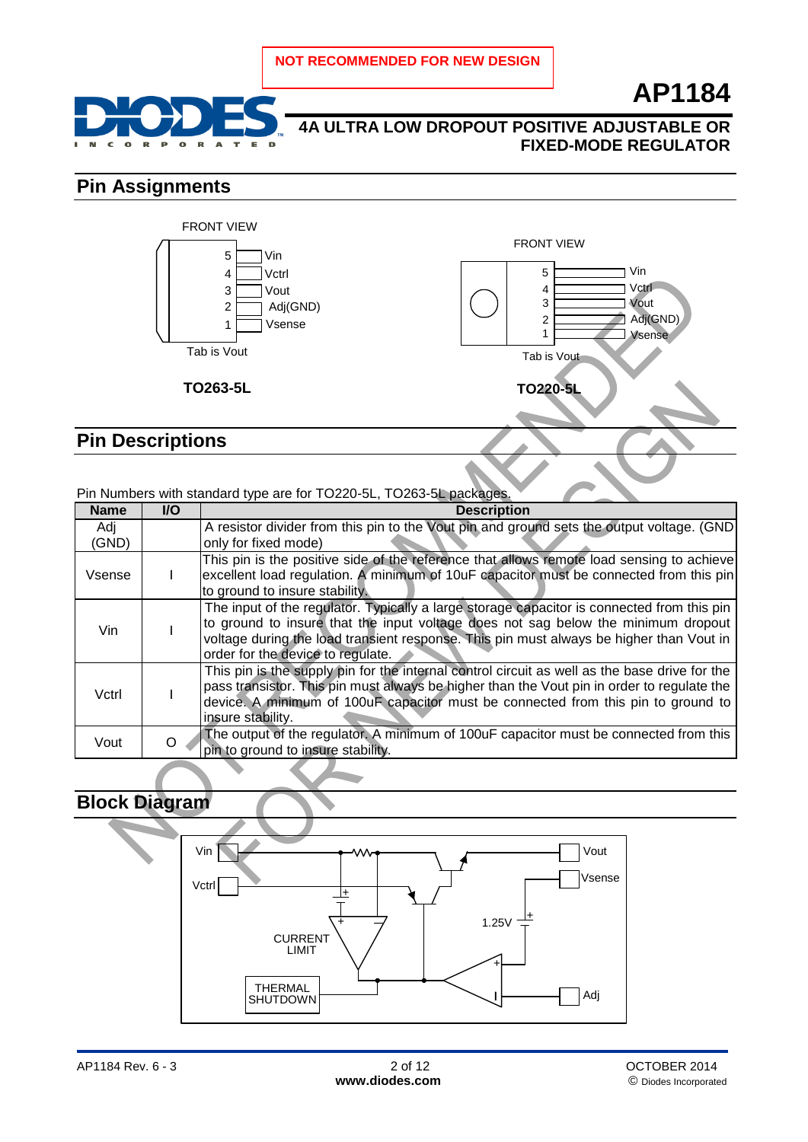

## **4A ULTRA LOW DROPOUT POSITIVE ADJUSTABLE OR FIXED-MODE REGULATOR**

## **Pin Assignments**



## **Pin Descriptions**

### Pin Numbers with standard type are for TO220-5L, TO263-5L packages.

| <b>Name</b> | <b>I/O</b> | <b>Description</b>                                                                            |
|-------------|------------|-----------------------------------------------------------------------------------------------|
| Adj         |            | A resistor divider from this pin to the Vout pin and ground sets the output voltage. (GND)    |
| (GND)       |            | only for fixed mode)                                                                          |
|             |            | This pin is the positive side of the reference that allows remote load sensing to achieve     |
| Vsense      |            | excellent load regulation. A minimum of 10uF capacitor must be connected from this pin        |
|             |            | to ground to insure stability.                                                                |
|             |            | The input of the regulator. Typically a large storage capacitor is connected from this pin    |
| Vin.        |            | to ground to insure that the input voltage does not sag below the minimum dropout             |
|             |            | voltage during the load transient response. This pin must always be higher than Vout in       |
|             |            | order for the device to regulate.                                                             |
|             |            | This pin is the supply pin for the internal control circuit as well as the base drive for the |
| Vctrl       |            | pass transistor. This pin must always be higher than the Vout pin in order to regulate the    |
|             |            | device. A minimum of 100uF capacitor must be connected from this pin to ground to             |
|             |            | insure stability.                                                                             |
| Vout        | $\Omega$   | The output of the regulator. A minimum of 100uF capacitor must be connected from this         |
|             |            | pin to ground to insure stability.                                                            |

## **Block Diagram**

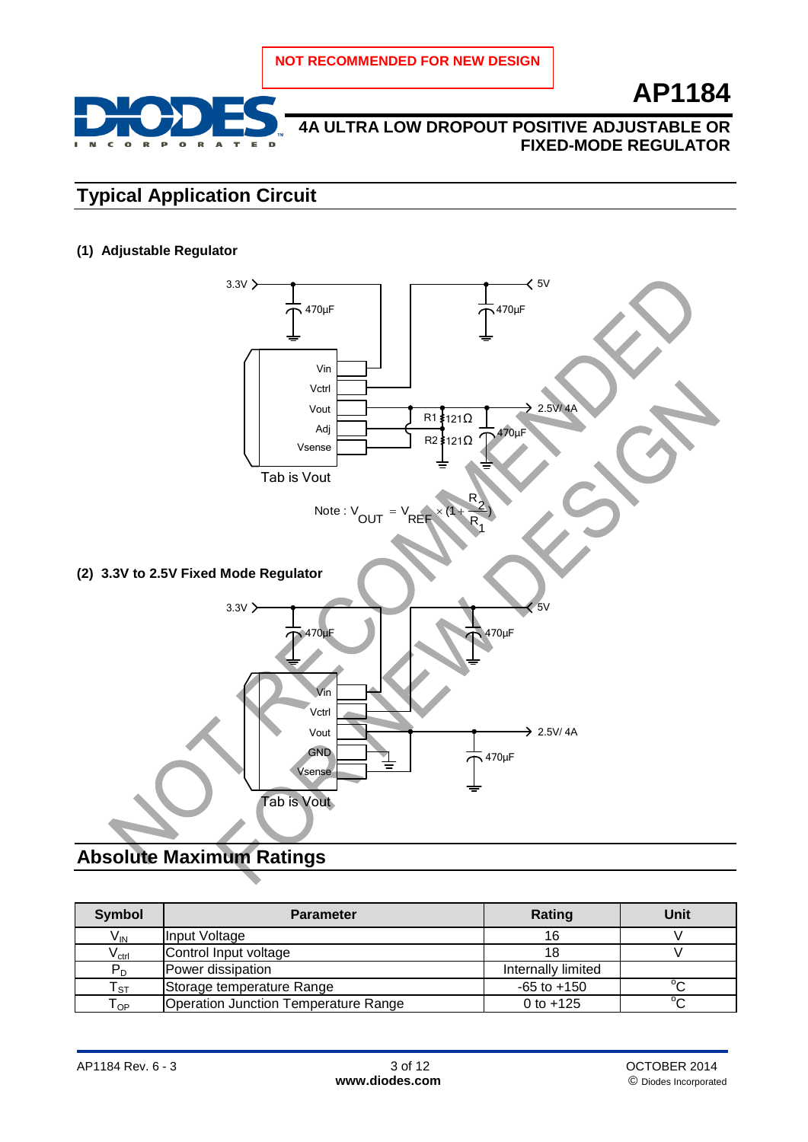

## **4A ULTRA LOW DROPOUT POSITIVE ADJUSTABLE OR FIXED-MODE REGULATOR**

## **Typical Application Circuit**

**(1) Adjustable Regulator**



## **Absolute Maximum Ratings**

| Symbol                        | <b>Parameter</b>                            | Rating             | <b>Unit</b> |
|-------------------------------|---------------------------------------------|--------------------|-------------|
| $V_{\text{IN}}$               | Input Voltage                               | 16                 |             |
| $\mathsf{V}_{\mathsf{ctrl}}$  | Control Input voltage                       | 18                 |             |
| $P_D$                         | Power dissipation                           | Internally limited |             |
| ${\sf T}_{\texttt{ST}}$       | Storage temperature Range                   | $-65$ to $+150$    | $\sim$      |
| $\mathsf{\tau}_{\mathsf{OP}}$ | <b>Operation Junction Temperature Range</b> | 0 to $+125$        | $^{\circ}C$ |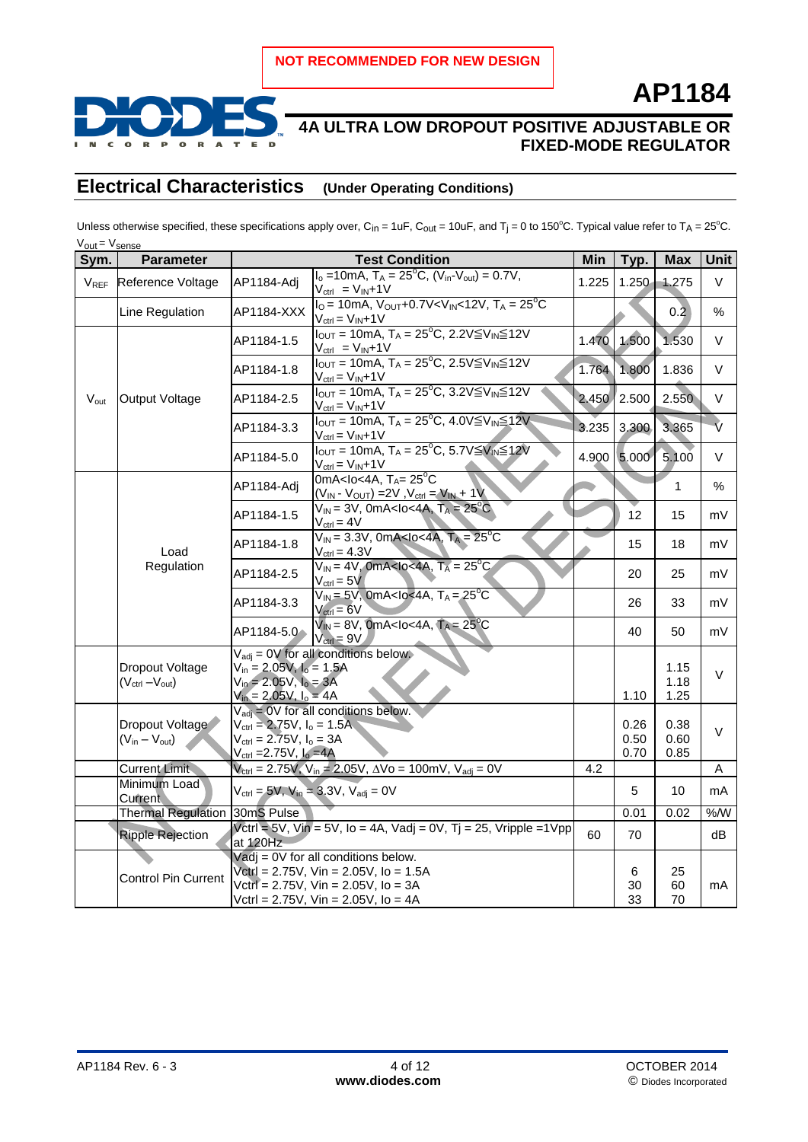

## **4A ULTRA LOW DROPOUT POSITIVE ADJUSTABLE OR FIXED-MODE REGULATOR**

## **Electrical Characteristics (Under Operating Conditions)**

Unless otherwise specified, these specifications apply over, C<sub>in</sub> = 1uF, C<sub>out</sub> = 10uF, and T<sub>i</sub> = 0 to 150°C. Typical value refer to T<sub>A</sub> = 25°C.  $V_{\text{out}} = V_{\text{sense}}$ 

| Sym.                   | <b>Parameter</b>                                               | <b>Test Condition</b>                                                                                               |                                                                                                                                                                                      | Min   | Typ.                 | <b>Max</b>                                                                                                                                                   | <b>Unit</b>        |
|------------------------|----------------------------------------------------------------|---------------------------------------------------------------------------------------------------------------------|--------------------------------------------------------------------------------------------------------------------------------------------------------------------------------------|-------|----------------------|--------------------------------------------------------------------------------------------------------------------------------------------------------------|--------------------|
| <b>V<sub>REF</sub></b> | Reference Voltage                                              | AP1184-Adj                                                                                                          | $I_o = 10mA$ , $T_A = 25^{\circ}C$ , $(V_{in} - V_{out}) = 0.7V$ ,<br>$V_{ctrl} = V_{IN} + 1V$                                                                                       | 1.225 | $1.250 -$            | 1.275                                                                                                                                                        | $\vee$             |
|                        | Line Regulation                                                | AP1184-XXX                                                                                                          | $I_0 = 10mA$ , $V_{OUT} + 0.7V < V_{IN} < 12V$ , $T_A = 25^{\circ}C$<br>$V_{\text{ctrl}} = V_{\text{IN}} + 1V$                                                                       |       |                      | 0.2                                                                                                                                                          | %                  |
|                        | Output Voltage                                                 | AP1184-1.5                                                                                                          | $I_{OUT} = 10mA$ , $T_A = 25^{\circ}C$ , 2.2V $\leq V_{IN} \leq 12V$<br>$V_{\text{ctrl}} = V_{\text{IN}} + 1V$                                                                       | 1.470 | 1.500                | 1.530                                                                                                                                                        | V                  |
|                        |                                                                | AP1184-1.8                                                                                                          | $I_{OUT} = 10mA$ , $T_A = 25^{\circ}C$ , $2.5V \leq V_{IN} \leq 12V$<br>$V_{ctrl} = V_{IN} + 1V$                                                                                     | 1.764 | 1.800                | 1.836                                                                                                                                                        | V                  |
| $V_{\text{out}}$       |                                                                | AP1184-2.5                                                                                                          | $I_{\text{OUT}}$ = 10mA, $T_A$ = 25 <sup>o</sup> C, 3.2V $\leq$ V <sub>IN</sub> $\leq$ 12V<br>$V_{\text{ctrl}} = V_{\text{IN}} + 1V$                                                 | 2.450 | 2.500                | 2.550                                                                                                                                                        | V                  |
|                        |                                                                | AP1184-3.3                                                                                                          | $I_{OUT} = 10mA$ , $T_A = 25^{\circ}C$ , $4.0V \leq V_{IN} \leq 12V$<br>$V_{\text{ctrl}} = V_{\text{IN}} + 1V$                                                                       | 3.235 | 3.300                | 3.365                                                                                                                                                        | $\hat{\mathsf{v}}$ |
|                        |                                                                | AP1184-5.0                                                                                                          | $I_{OUT} = 10mA$ , $T_A = 25^{\circ}C$ , 5.7V $\leq V_{IN} \leq 12V$<br>$V_{ctrl} = V_{IN} + 1V$                                                                                     |       | 4.900 5.000          | 5.100                                                                                                                                                        | $\vee$             |
|                        |                                                                | AP1184-Adj                                                                                                          | 0mA <lo<4a, <math="">T_A = 25^{\circ}C<br/><math>(V_{IN} - V_{OUT}) = 2V, V_{ctrl} = V_{IN} + 1V</math></lo<4a,>                                                                     |       |                      | 1                                                                                                                                                            | $\%$               |
|                        |                                                                | AP1184-1.5                                                                                                          | $V_{IN}$ = 3V, 0mA <lo<4a, <math="">T_A = 25<sup>o</sup>C<br/><math>V_{\text{ctrl}} = 4V</math></lo<4a,>                                                                             |       | 12                   | 15<br>mV<br>mV<br>18<br>25<br>mV<br>33<br>mV<br>m۷<br>50<br>1.15<br>V<br>1.18<br>1.25<br>0.38<br>$\vee$<br>0.60<br>0.85<br>Α<br>10<br>mA<br>%M<br>0.02<br>dB |                    |
|                        | Load                                                           | AP1184-1.8                                                                                                          | $V_{\text{IN}} = 3.3V$ , 0mA <lo<4a, <math="">T_A = 25^{\circ}C<br/><math>V_{\text{ctrl}} = 4.3V</math></lo<4a,>                                                                     |       | 15                   |                                                                                                                                                              |                    |
|                        | Regulation                                                     | AP1184-2.5                                                                                                          | $V_{IN}$ = 4V, 0mA <lo<4a, <math="">T_A = 25<sup>o</sup>C<br/><math>V_{\text{ctrl}} = 5V</math></lo<4a,>                                                                             |       | 20                   |                                                                                                                                                              |                    |
|                        |                                                                | AP1184-3.3                                                                                                          | $V_{IN}$ = 5V, 0mA <lo<4a, <math="">T_A = 25<sup>°</sup>C<br/><math>V_{\text{ctrl}} = 6V</math></lo<4a,>                                                                             |       | 26                   |                                                                                                                                                              |                    |
|                        |                                                                | AP1184-5.0                                                                                                          | $V_{IN}$ = 8V, 0mA <lo<4a, <math="">T_A = 25<sup>°</sup>C<br/><math>V_{\text{ctrl}} = 9V</math></lo<4a,>                                                                             |       | 40                   |                                                                                                                                                              |                    |
|                        | <b>Dropout Voltage</b><br>$(V_{\text{ctrl}} - V_{\text{out}})$ | $V_{in} = 2.05V, Io = 1.5A$<br>$V_{in} = 2.05V, Io = 3A$<br>$V_{in} = 2.05V, I_o = 4A$                              | $V_{\text{adi}} = 0V$ for all conditions below.                                                                                                                                      |       | 1.10                 |                                                                                                                                                              |                    |
|                        | Dropout Voltage<br>$(V_{in} - V_{out})$                        | $V_{\text{ctrl}} = 2.75V, I_0 = 1.5A$<br>$V_{\text{ctrl}} = 2.75V, I_0 = 3A$<br>$V_{\text{ctrl}} = 2.75V, I_0 = 4A$ | $V_{\text{adj}} = 0V$ for all conditions below.                                                                                                                                      |       | 0.26<br>0.50<br>0.70 |                                                                                                                                                              |                    |
|                        | <b>Current Limit</b>                                           |                                                                                                                     | $V_{\text{ctrl}} = 2.75V, V_{\text{in}} = 2.05V, \Delta V_0 = 100mV, V_{\text{adj}} = 0V$                                                                                            | 4.2   |                      |                                                                                                                                                              |                    |
|                        | Minimum Load<br>Current                                        |                                                                                                                     | $V_{\text{ctrl}} = 5V$ , $V_{\text{in}} = 3.3V$ , $V_{\text{adj}} = 0V$                                                                                                              |       | 5                    |                                                                                                                                                              |                    |
|                        | <b>Thermal Regulation</b>                                      | 30mS Pulse                                                                                                          |                                                                                                                                                                                      |       | 0.01                 |                                                                                                                                                              |                    |
|                        | <b>Ripple Rejection</b>                                        | at 120Hz                                                                                                            | Vctrl = $5V$ , Vin = $5V$ , Io = 4A, Vadj = $0V$ , Tj = 25, Vripple = $1V$ pp                                                                                                        | 60    | 70                   |                                                                                                                                                              |                    |
|                        | Control Pin Current                                            |                                                                                                                     | $V$ adj = 0V for all conditions below.<br>$Vert = 2.75V$ , $Vin = 2.05V$ , $lo = 1.5A$<br>Vctrl = $2.75V$ , Vin = $2.05V$ , Io = $3A$<br>Vctrl = $2.75V$ , Vin = $2.05V$ , Io = $4A$ |       | 6<br>30<br>33        | 25<br>60<br>70                                                                                                                                               | mA                 |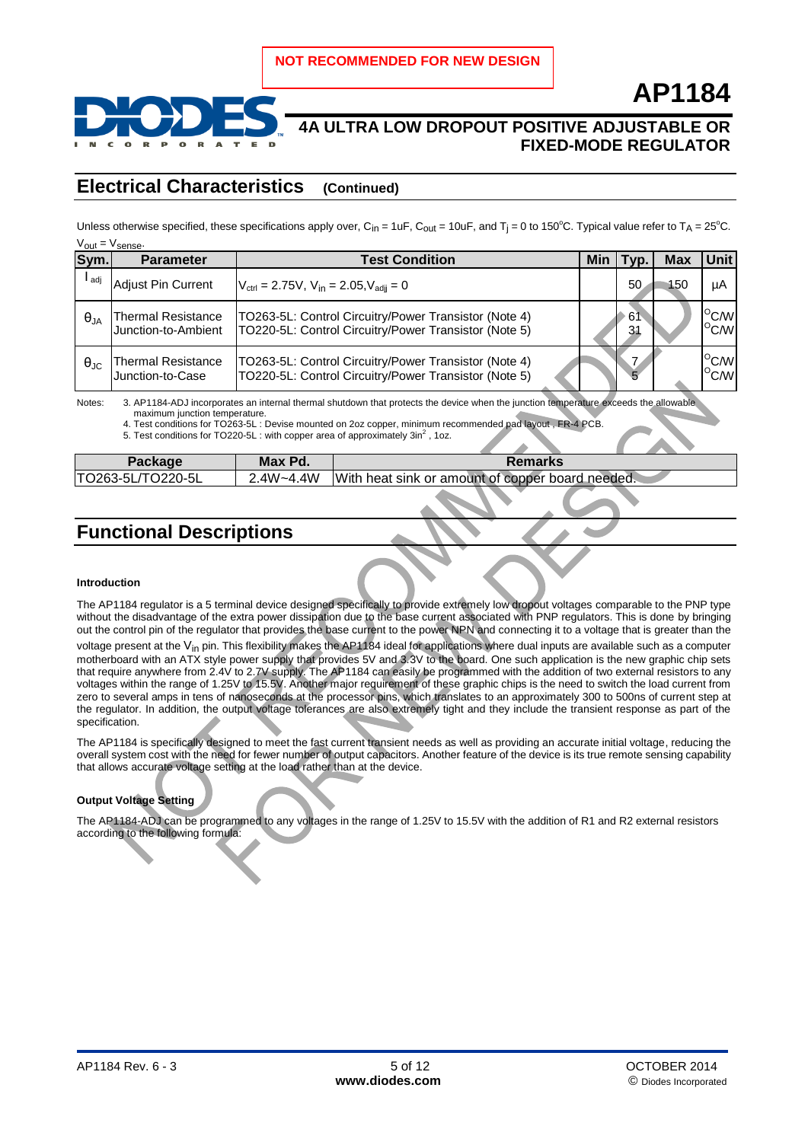

# **4A ULTRA LOW DROPOUT POSITIVE ADJUSTABLE OR**

## **FIXED-MODE REGULATOR**

**AP1184**

### **Electrical Characteristics (Continued)**

Unless otherwise specified, these specifications apply over, C<sub>in</sub> = 1uF, C<sub>out</sub> = 10uF, and T<sub>i</sub> = 0 to 150°C. Typical value refer to T<sub>A</sub> = 25°C.  $V_{\text{out}} = V_{\text{out}}$ 

| Sym.                 | Parameter                                 | <b>Test Condition</b>                                                                                          |  | vp.      | Max | <b>Unit</b>                      |
|----------------------|-------------------------------------------|----------------------------------------------------------------------------------------------------------------|--|----------|-----|----------------------------------|
| l <sub>adj</sub>     | <b>Adjust Pin Current</b>                 | $V_{\text{ctrl}} = 2.75V$ , $V_{\text{in}} = 2.05$ , $V_{\text{adii}} = 0$                                     |  | 50       | 150 | μA                               |
| $\theta_{JA}$        | Thermal Resistance<br>Junction-to-Ambient | TO263-5L: Control Circuitry/Power Transistor (Note 4)<br>TO220-5L: Control Circuitry/Power Transistor (Note 5) |  | 61<br>31 |     | $^{\circ}$ C/W<br>$^{\circ}$ C/W |
| $\theta_{\text{JC}}$ | Thermal Resistance<br>Junction-to-Case    | TO263-5L: Control Circuitry/Power Transistor (Note 4)<br>TO220-5L: Control Circuitry/Power Transistor (Note 5) |  |          |     | $^{\circ}$ C/W<br>$^{\circ}$ C/W |

Notes:  $3.$  AP1184-ADJ incorporates an internal thermal shutdown that protects the device when the junction temperature  $\epsilon$ maximum junction temperature.

4. Test conditions for TO263-5L : Devise mounted on 2oz copper, minimum recommended pad layout , FR-4 PCB.<br>5. Test conditions for TO220-5L : with copper area of approximately 3in<sup>2</sup> , 1oz.

| Package            | Max Pd.    | Remarks                                          |
|--------------------|------------|--------------------------------------------------|
| 'TO263-5L/TO220-5L | $4W - 44W$ | With heat sink or amount of copper board needed. |
|                    |            |                                                  |

## **Functional Descriptions**

#### **Introduction**

The AP1184 regulator is a 5 terminal device designed specifically to provide extremely low dropout voltages comparable to the PNP type without the disadvantage of the extra power dissipation due to the base current associated with PNP regulators. This is done by bringing out the control pin of the regulator that provides the base current to the power NPN and connecting it to a voltage that is greater than the voltage present at the V<sub>in</sub> pin. This flexibility makes the AP1184 ideal for applications where dual inputs are available such as a computer motherboard with an ATX style power supply that provides 5V and 3.3V to the board. One such application is the new graphic chip sets that require anywhere from 2.4V to 2.7V supply. The AP1184 can easily be programmed with the addition of two external resistors to any voltages within the range of 1.25V to 15.5V. Another major requirement of these graphic chips is the need to switch the load current from zero to several amps in tens of nanoseconds at the processor pins, which translates to an approximately 300 to 500ns of current step at the regulator. In addition, the output voltage tolerances are also extremely tight and they include the transient response as part of the specification.

The AP1184 is specifically designed to meet the fast current transient needs as well as providing an accurate initial voltage, reducing the overall system cost with the need for fewer number of output capacitors. Another feature of the device is its true remote sensing capability that allows accurate voltage setting at the load rather than at the device.

#### **Output Voltage Setting**

The AP1184-ADJ can be programmed to any voltages in the range of 1.25V to 15.5V with the addition of R1 and R2 external resistors according to the following formula: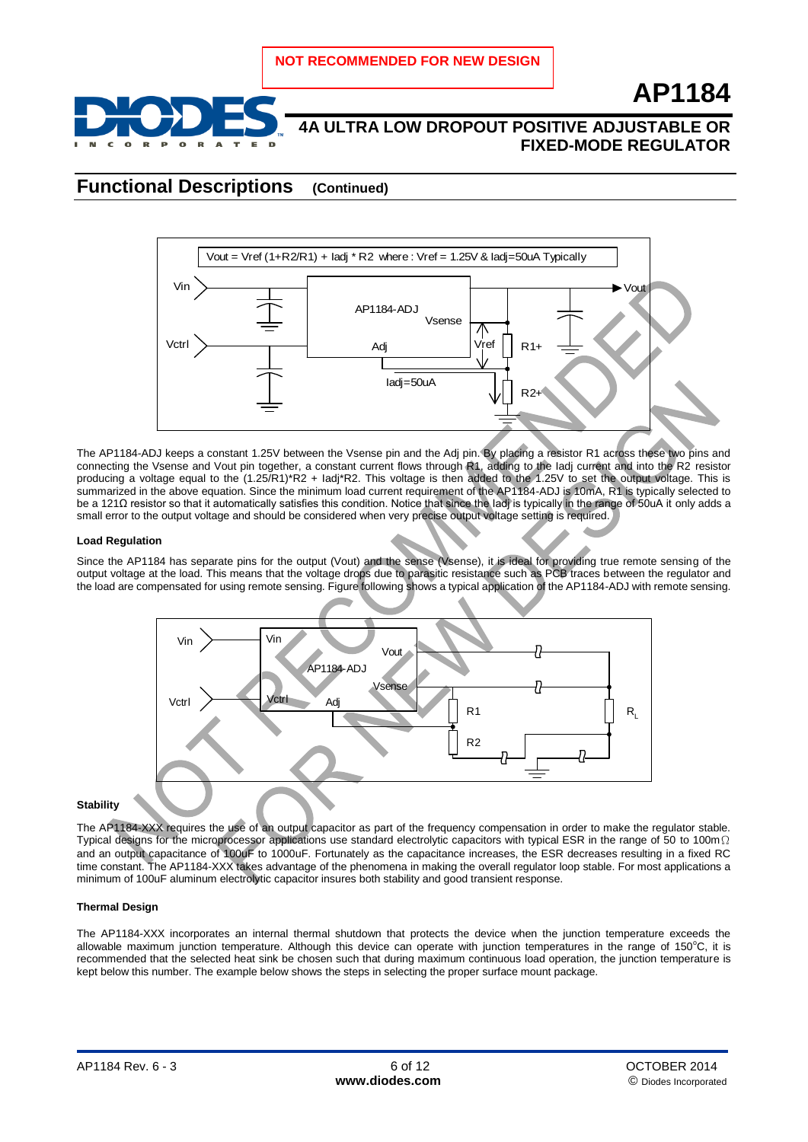

## **4A ULTRA LOW DROPOUT POSITIVE ADJUSTABLE OR FIXED-MODE REGULATOR**

### **Functional Descriptions (Continued)**



The AP1184-ADJ keeps a constant 1.25V between the Vsense pin and the Adj pin. By placing a resistor R1 across these two pins and connecting the Vsense and Vout pin together, a constant current flows through R1, adding to the Iadj current and into the R2 resistor producing a voltage equal to the (1.25/R1)\*R2 + Iadj\*R2. This voltage is then added to the 1.25V to set the output voltage. This is summarized in the above equation. Since the minimum load current requirement of the AP1184-ADJ is 10mA, R1 is typically selected to be a 121Ω resistor so that it automatically satisfies this condition. Notice that since the ladj is typically in the range of 50uA it only adds a small error to the output voltage and should be considered when very precise output voltage setting is required.

#### **Load Regulation**

Since the AP1184 has separate pins for the output (Vout) and the sense (Vsense), it is ideal for providing true remote sensing of the output voltage at the load. This means that the voltage drops due to parasitic resistance such as PCB traces between the regulator and the load are compensated for using remote sensing. Figure following shows a typical application of the AP1184-ADJ with remote sensing.



#### **Stability**

The AP1184-XXX requires the use of an output capacitor as part of the frequency compensation in order to make the regulator stable. Typical designs for the microprocessor applications use standard electrolytic capacitors with typical ESR in the range of 50 to 100m $\Omega$ and an output capacitance of 100uF to 1000uF. Fortunately as the capacitance increases, the ESR decreases resulting in a fixed RC time constant. The AP1184-XXX takes advantage of the phenomena in making the overall regulator loop stable. For most applications a minimum of 100uF aluminum electrolytic capacitor insures both stability and good transient response.

#### **Thermal Design**

The AP1184-XXX incorporates an internal thermal shutdown that protects the device when the junction temperature exceeds the allowable maximum junction temperature. Although this device can operate with junction temperatures in the range of  $150^{\circ}$ C, it is recommended that the selected heat sink be chosen such that during maximum continuous load operation, the junction temperature is kept below this number. The example below shows the steps in selecting the proper surface mount package.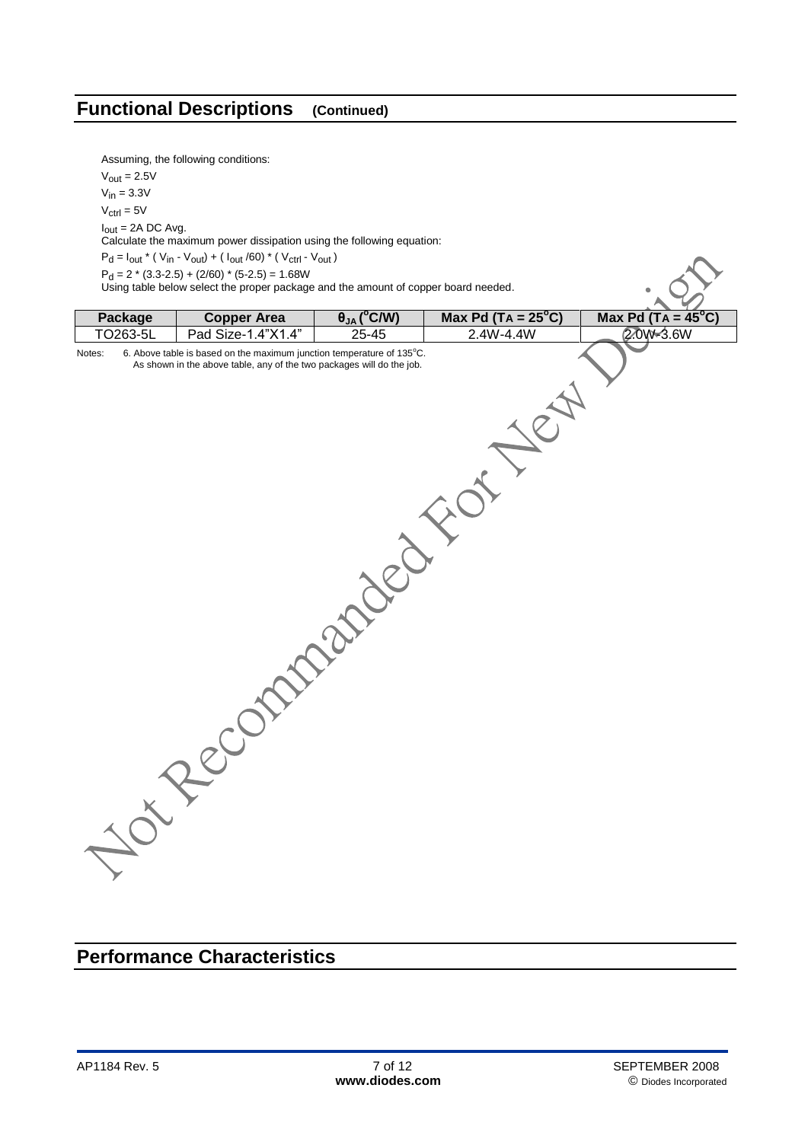## **Functional Descriptions (Continued)**

Assuming, the following conditions:

 $V_{\text{out}} = 2.5V$ 

 $V_{in} = 3.3V$ 

 $V_{\text{ctrl}} = 5V$  $I_{out}$  = 2A DC Avg.

Calculate the maximum power dissipation using the following equation:

 $\mathsf{P}_{\mathsf{d}} = \mathsf{I}_{\mathsf{out}}$  \* (  $\mathsf{V}_{\mathsf{in}}$  -  $\mathsf{V}_{\mathsf{out}})$  + (  $\mathsf{I}_{\mathsf{out}}$  /60) \* (  $\mathsf{V}_{\mathsf{ctrl}}$  -  $\mathsf{V}_{\mathsf{out}}$  )

 $P_d = 2 * (3.3 - 2.5) + (2/60) * (5 - 2.5) = 1.68W$ 

Using table below select the proper package and the amount of copper board needed.

| Package<br>TO263-5L<br>Notes: | <b>Copper Area</b><br>Pad Size-1.4"X1.4"<br>6. Above table is based on the maximum junction temperature of 135°C.<br>As shown in the above table, any of the two packages will do the job. | $\theta_{JA}$ (°C/W)<br>$25 - 45$ | <b>Max Pd (TA = 25°C)</b><br>2.4W-4.4W | Max Pd $(TA = 45^{\circ}C)$<br>2.0 $\sqrt{3.6}W$ |
|-------------------------------|--------------------------------------------------------------------------------------------------------------------------------------------------------------------------------------------|-----------------------------------|----------------------------------------|--------------------------------------------------|
|                               |                                                                                                                                                                                            |                                   |                                        |                                                  |

## **Performance Characteristics**

 $.69$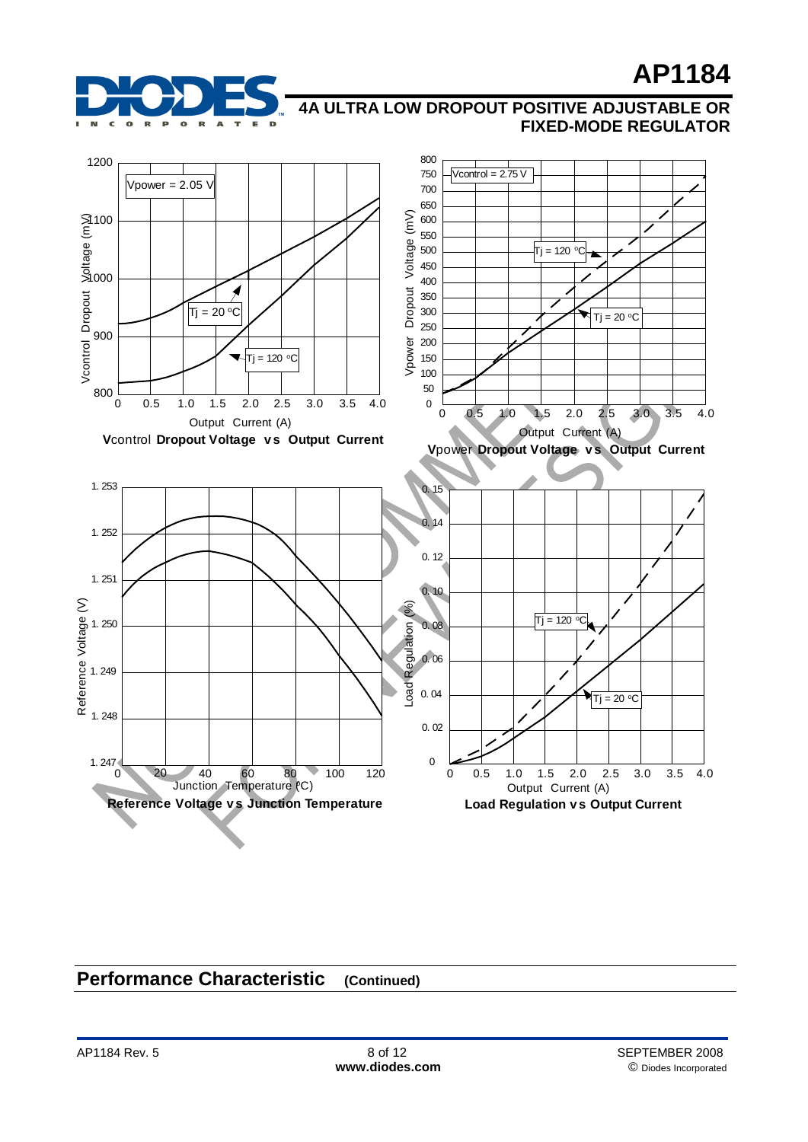

## **4A ULTRA LOW DROPOUT POSITIVE ADJUSTABLE OR FIXED-MODE REGULATOR**



## **Performance Characteristic (Continued)**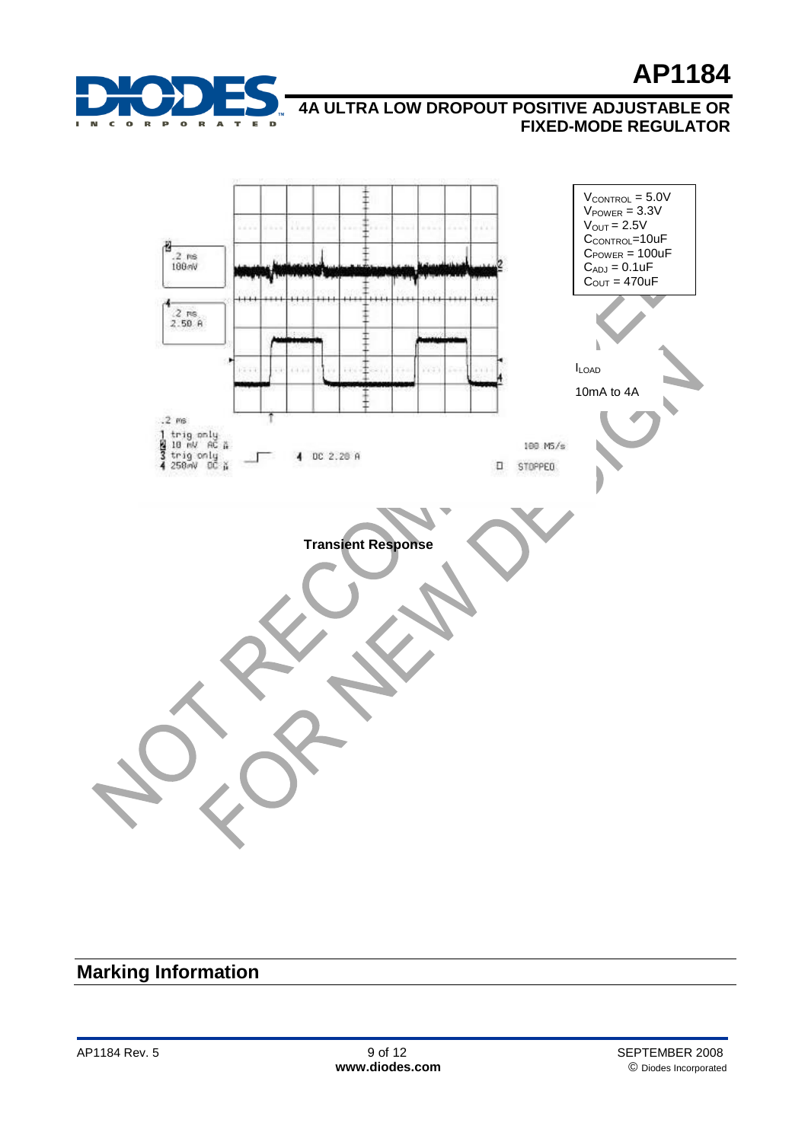





## **Marking Information**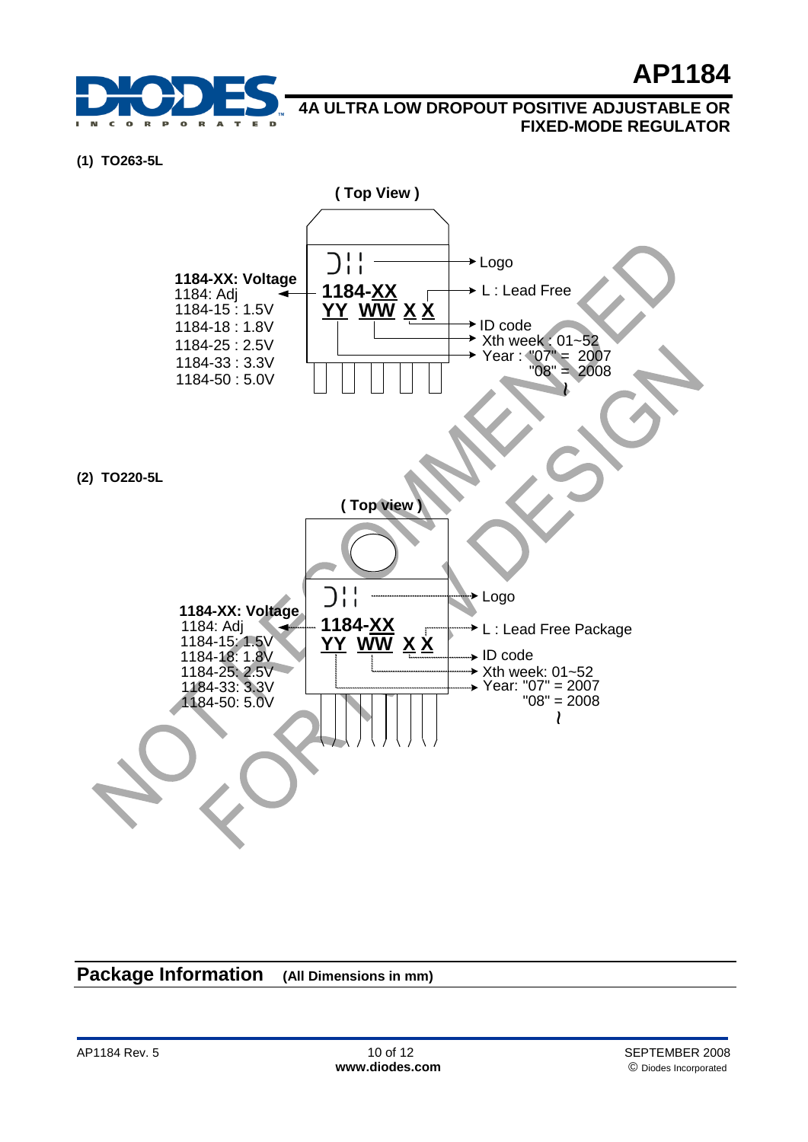

### **(1) TO263-5L**



## **Package Information (All Dimensions in mm)**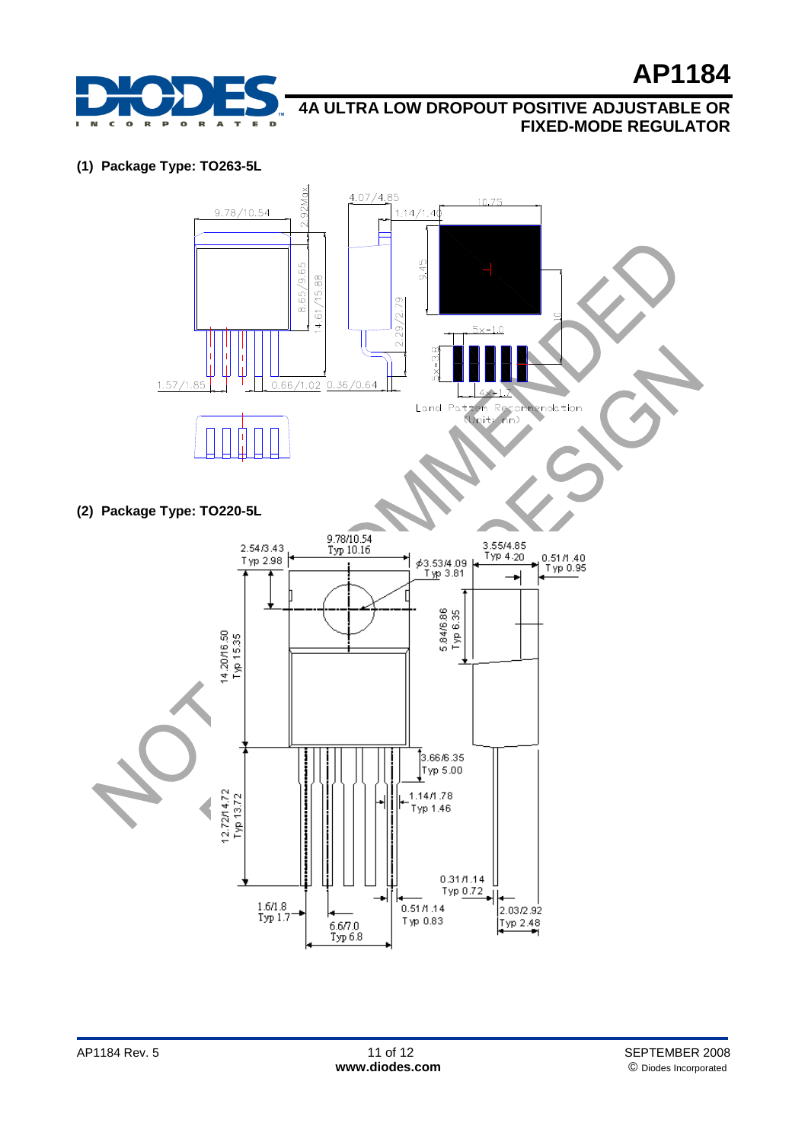

**(1) Package Type: TO263-5L**



**(2) Package Type: TO220-5L**